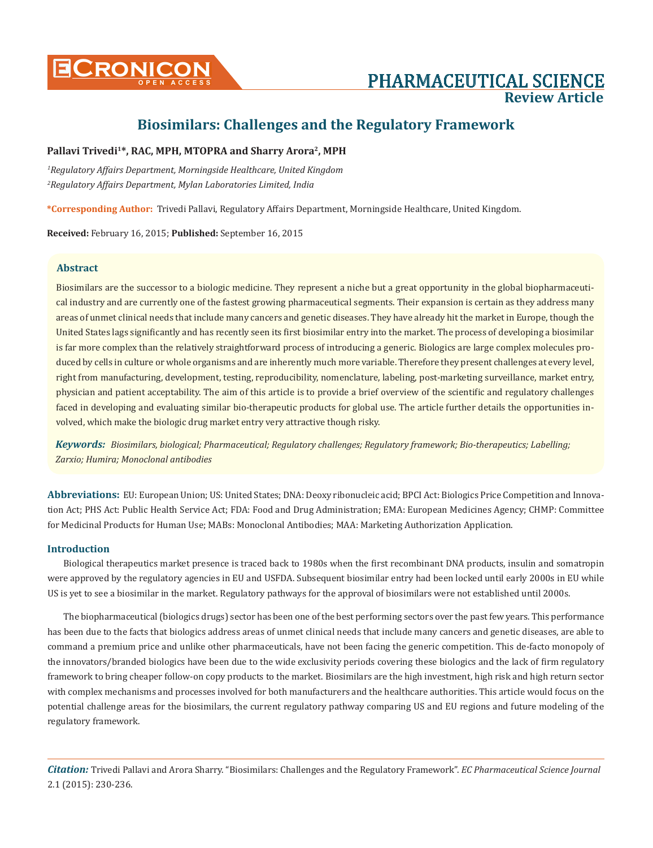

# **Review Article**

# **Biosimilars: Challenges and the Regulatory Framework**

# Pallavi Trivedi<sup>1\*</sup>, RAC, MPH, MTOPRA and Sharry Arora<sup>2</sup>, MPH

*1 Regulatory Affairs Department, Morningside Healthcare, United Kingdom 2 Regulatory Affairs Department, Mylan Laboratories Limited, India*

**\*Corresponding Author:** Trivedi Pallavi, Regulatory Affairs Department, Morningside Healthcare, United Kingdom.

**Received:** February 16, 2015; **Published:** September 16, 2015

### **Abstract**

Biosimilars are the successor to a biologic medicine. They represent a niche but a great opportunity in the global biopharmaceutical industry and are currently one of the fastest growing pharmaceutical segments. Their expansion is certain as they address many areas of unmet clinical needs that include many cancers and genetic diseases. They have already hit the market in Europe, though the United States lags significantly and has recently seen its first biosimilar entry into the market. The process of developing a biosimilar is far more complex than the relatively straightforward process of introducing a generic. Biologics are large complex molecules produced by cells in culture or whole organisms and are inherently much more variable. Therefore they present challenges at every level, right from manufacturing, development, testing, reproducibility, nomenclature, labeling, post-marketing surveillance, market entry, physician and patient acceptability. The aim of this article is to provide a brief overview of the scientific and regulatory challenges faced in developing and evaluating similar bio-therapeutic products for global use. The article further details the opportunities involved, which make the biologic drug market entry very attractive though risky.

*Keywords: Biosimilars, biological; Pharmaceutical; Regulatory challenges; Regulatory framework; Bio-therapeutics; Labelling; Zarxio; Humira; Monoclonal antibodies*

**Abbreviations:** EU: European Union; US: United States; DNA: Deoxy ribonucleic acid; BPCI Act: Biologics Price Competition and Innovation Act; PHS Act: Public Health Service Act; FDA: Food and Drug Administration; EMA: European Medicines Agency; CHMP: Committee for Medicinal Products for Human Use; MABs: Monoclonal Antibodies; MAA: Marketing Authorization Application.

# **Introduction**

Biological therapeutics market presence is traced back to 1980s when the first recombinant DNA products, insulin and somatropin were approved by the regulatory agencies in EU and USFDA. Subsequent biosimilar entry had been locked until early 2000s in EU while US is yet to see a biosimilar in the market. Regulatory pathways for the approval of biosimilars were not established until 2000s.

The biopharmaceutical (biologics drugs) sector has been one of the best performing sectors over the past few years. This performance has been due to the facts that biologics address areas of unmet clinical needs that include many cancers and genetic diseases, are able to command a premium price and unlike other pharmaceuticals, have not been facing the generic competition. This de-facto monopoly of the innovators/branded biologics have been due to the wide exclusivity periods covering these biologics and the lack of firm regulatory framework to bring cheaper follow-on copy products to the market. Biosimilars are the high investment, high risk and high return sector with complex mechanisms and processes involved for both manufacturers and the healthcare authorities. This article would focus on the potential challenge areas for the biosimilars, the current regulatory pathway comparing US and EU regions and future modeling of the regulatory framework.

*Citation:* Trivedi Pallavi and Arora Sharry. "Biosimilars: Challenges and the Regulatory Framework". *EC Pharmaceutical Science Journal*  2.1 (2015): 230-236.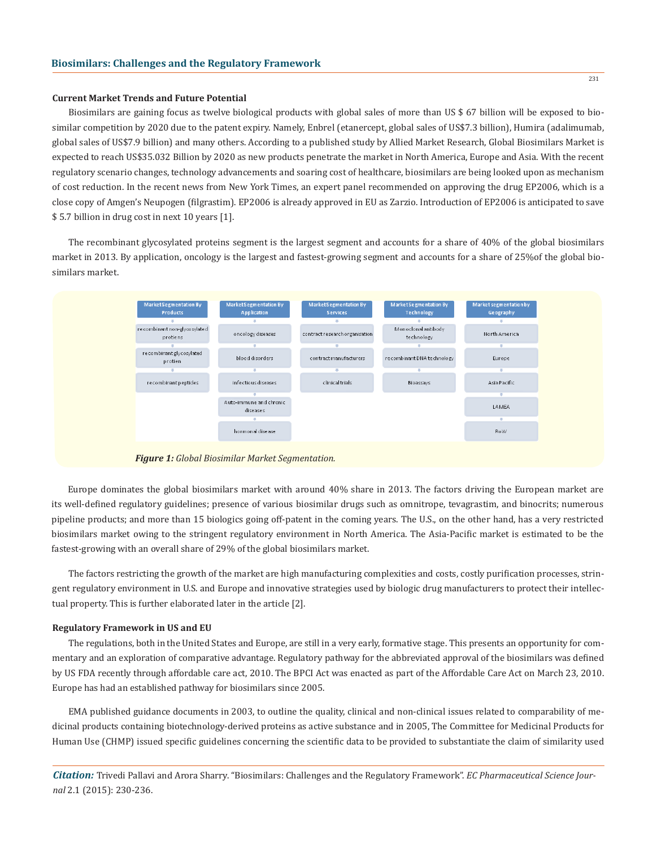#### **Current Market Trends and Future Potential**

Biosimilars are gaining focus as twelve biological products with global sales of more than US \$ 67 billion will be exposed to biosimilar competition by 2020 due to the patent expiry. Namely, Enbrel (etanercept, global sales of US\$7.3 billion), Humira (adalimumab, global sales of US\$7.9 billion) and many others. According to a published study by Allied Market Research, Global Biosimilars Market is expected to reach US\$35.032 Billion by 2020 as new products penetrate the market in North America, Europe and Asia. With the recent regulatory scenario changes, technology advancements and soaring cost of healthcare, biosimilars are being looked upon as mechanism of cost reduction. In the recent news from New York Times, an expert panel recommended on approving the drug EP2006, which is a close copy of Amgen's Neupogen (filgrastim). EP2006 is already approved in EU as Zarzio. Introduction of EP2006 is anticipated to save \$ 5.7 billion in drug cost in next 10 years [1].

The recombinant glycosylated proteins segment is the largest segment and accounts for a share of 40% of the global biosimilars market in 2013. By application, oncology is the largest and fastest-growing segment and accounts for a share of 25%of the global biosimilars market.



*Figure 1: Global Biosimilar Market Segmentation.*

Europe dominates the global biosimilars market with around 40% share in 2013. The factors driving the European market are its well-defined regulatory guidelines; presence of various biosimilar drugs such as omnitrope, tevagrastim, and binocrits; numerous pipeline products; and more than 15 biologics going off-patent in the coming years. The U.S., on the other hand, has a very restricted biosimilars market owing to the stringent regulatory environment in North America. The Asia-Pacific market is estimated to be the fastest-growing with an overall share of 29% of the global biosimilars market.

The factors restricting the growth of the market are high manufacturing complexities and costs, costly purification processes, stringent regulatory environment in U.S. and Europe and innovative strategies used by biologic drug manufacturers to protect their intellectual property. This is further elaborated later in the article [2].

#### **Regulatory Framework in US and EU**

The regulations, both in the United States and Europe, are still in a very early, formative stage. This presents an opportunity for commentary and an exploration of comparative advantage. Regulatory pathway for the abbreviated approval of the biosimilars was defined by US FDA recently through affordable care act, 2010. The BPCI Act was enacted as part of the Affordable Care Act on March 23, 2010. Europe has had an established pathway for biosimilars since 2005.

EMA published guidance documents in 2003, to outline the quality, clinical and non-clinical issues related to comparability of medicinal products containing biotechnology-derived proteins as active substance and in 2005, The Committee for Medicinal Products for Human Use (CHMP) issued specific guidelines concerning the scientific data to be provided to substantiate the claim of similarity used

*Citation:* Trivedi Pallavi and Arora Sharry. "Biosimilars: Challenges and the Regulatory Framework". *EC Pharmaceutical Science Journal* 2.1 (2015): 230-236.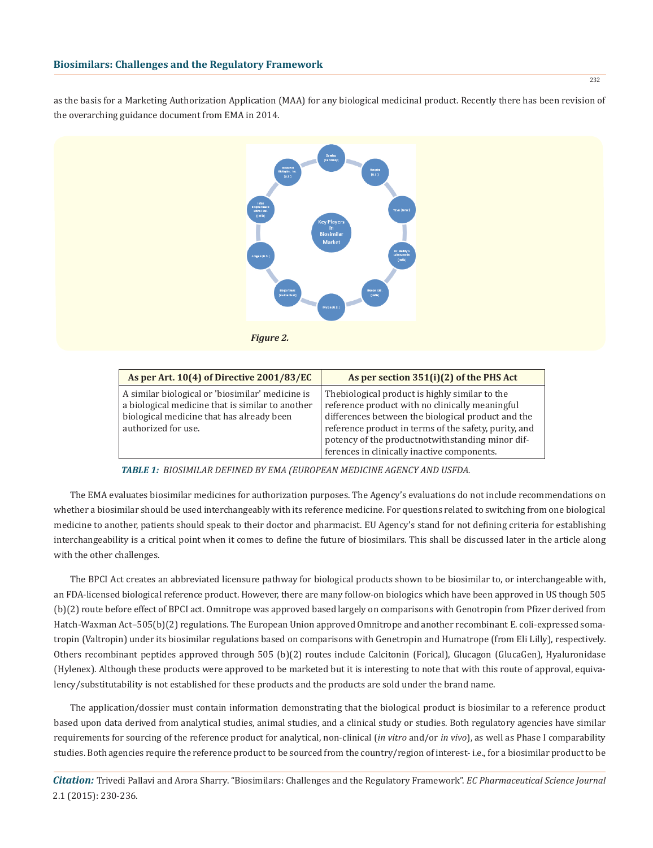as the basis for a Marketing Authorization Application (MAA) for any biological medicinal product. Recently there has been revision of the overarching guidance document from EMA in 2014.





| As per Art. 10(4) of Directive 2001/83/EC                                                                                                                                | As per section 351(i)(2) of the PHS Act                                                                                                                                                                                                                                                                              |  |
|--------------------------------------------------------------------------------------------------------------------------------------------------------------------------|----------------------------------------------------------------------------------------------------------------------------------------------------------------------------------------------------------------------------------------------------------------------------------------------------------------------|--|
| A similar biological or 'biosimilar' medicine is<br>a biological medicine that is similar to another<br>biological medicine that has already been<br>authorized for use. | The biological product is highly similar to the<br>reference product with no clinically meaningful<br>differences between the biological product and the<br>reference product in terms of the safety, purity, and<br>potency of the productnotwithstanding minor dif-<br>ferences in clinically inactive components. |  |

*TABLE 1: BIOSIMILAR DEFINED BY EMA (EUROPEAN MEDICINE AGENCY AND USFDA.*

The EMA evaluates biosimilar medicines for authorization purposes. The Agency's evaluations do not include recommendations on whether a biosimilar should be used interchangeably with its reference medicine. For questions related to switching from one biological medicine to another, patients should speak to their doctor and pharmacist. EU Agency's stand for not defining criteria for establishing interchangeability is a critical point when it comes to define the future of biosimilars. This shall be discussed later in the article along with the other challenges.

The BPCI Act creates an abbreviated licensure pathway for biological products shown to be biosimilar to, or interchangeable with, an FDA-licensed biological reference product. However, there are many follow-on biologics which have been approved in US though 505 (b)(2) route before effect of BPCI act. Omnitrope was approved based largely on comparisons with Genotropin from Pfizer derived from Hatch-Waxman Act–505(b)(2) regulations. The European Union approved Omnitrope and another recombinant E. coli-expressed somatropin (Valtropin) under its biosimilar regulations based on comparisons with Genetropin and Humatrope (from Eli Lilly), respectively. Others recombinant peptides approved through 505 (b)(2) routes include Calcitonin (Forical), Glucagon (GlucaGen), Hyaluronidase (Hylenex). Although these products were approved to be marketed but it is interesting to note that with this route of approval, equivalency/substitutability is not established for these products and the products are sold under the brand name.

The application/dossier must contain information demonstrating that the biological product is biosimilar to a reference product based upon data derived from analytical studies, animal studies, and a clinical study or studies. Both regulatory agencies have similar requirements for sourcing of the reference product for analytical, non-clinical (*in vitro* and/or *in vivo*), as well as Phase I comparability studies. Both agencies require the reference product to be sourced from the country/region of interest- i.e., for a biosimilar product to be

*Citation:* Trivedi Pallavi and Arora Sharry. "Biosimilars: Challenges and the Regulatory Framework". *EC Pharmaceutical Science Journal*  2.1 (2015): 230-236.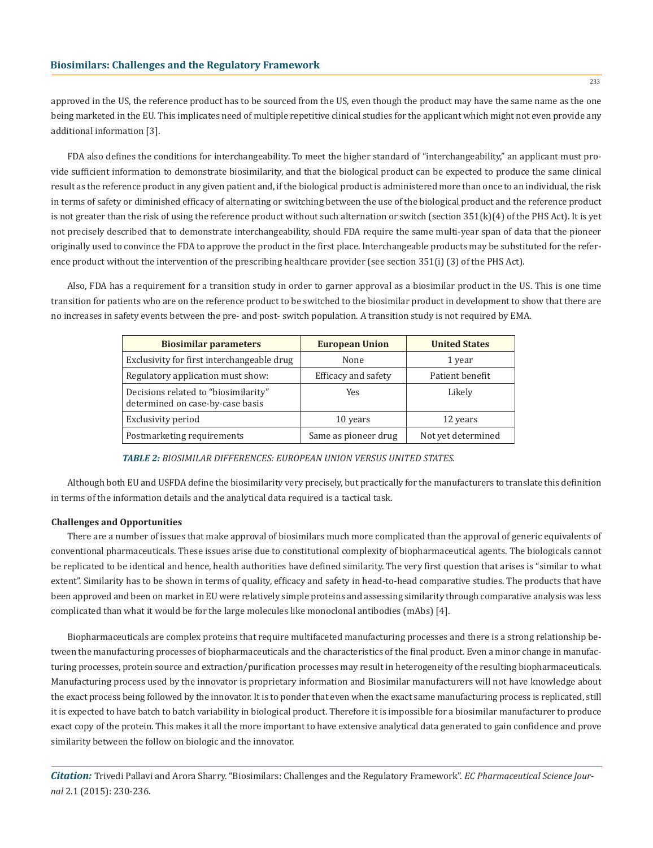approved in the US, the reference product has to be sourced from the US, even though the product may have the same name as the one being marketed in the EU. This implicates need of multiple repetitive clinical studies for the applicant which might not even provide any additional information [3].

FDA also defines the conditions for interchangeability. To meet the higher standard of "interchangeability," an applicant must provide sufficient information to demonstrate biosimilarity, and that the biological product can be expected to produce the same clinical result as the reference product in any given patient and, if the biological product is administered more than once to an individual, the risk in terms of safety or diminished efficacy of alternating or switching between the use of the biological product and the reference product is not greater than the risk of using the reference product without such alternation or switch (section 351(k)(4) of the PHS Act). It is yet not precisely described that to demonstrate interchangeability, should FDA require the same multi-year span of data that the pioneer originally used to convince the FDA to approve the product in the first place. Interchangeable products may be substituted for the reference product without the intervention of the prescribing healthcare provider (see section 351(i) (3) of the PHS Act).

Also, FDA has a requirement for a transition study in order to garner approval as a biosimilar product in the US. This is one time transition for patients who are on the reference product to be switched to the biosimilar product in development to show that there are no increases in safety events between the pre- and post- switch population. A transition study is not required by EMA.

| <b>Biosimilar parameters</b>                                             | <b>European Union</b> | <b>United States</b> |
|--------------------------------------------------------------------------|-----------------------|----------------------|
| Exclusivity for first interchangeable drug                               | None                  | 1 year               |
| Regulatory application must show:                                        | Efficacy and safety   | Patient benefit      |
| Decisions related to "biosimilarity"<br>determined on case-by-case basis | Yes                   | Likely               |
| Exclusivity period                                                       | 10 years              | 12 years             |
| Postmarketing requirements                                               | Same as pioneer drug  | Not yet determined   |

#### *TABLE 2: BIOSIMILAR DIFFERENCES: EUROPEAN UNION VERSUS UNITED STATES.*

Although both EU and USFDA define the biosimilarity very precisely, but practically for the manufacturers to translate this definition in terms of the information details and the analytical data required is a tactical task.

#### **Challenges and Opportunities**

There are a number of issues that make approval of biosimilars much more complicated than the approval of generic equivalents of conventional pharmaceuticals. These issues arise due to constitutional complexity of biopharmaceutical agents. The biologicals cannot be replicated to be identical and hence, health authorities have defined similarity. The very first question that arises is "similar to what extent". Similarity has to be shown in terms of quality, efficacy and safety in head-to-head comparative studies. The products that have been approved and been on market in EU were relatively simple proteins and assessing similarity through comparative analysis was less complicated than what it would be for the large molecules like monoclonal antibodies (mAbs) [4].

Biopharmaceuticals are complex proteins that require multifaceted manufacturing processes and there is a strong relationship between the manufacturing processes of biopharmaceuticals and the characteristics of the final product. Even a minor change in manufacturing processes, protein source and extraction/purification processes may result in heterogeneity of the resulting biopharmaceuticals. Manufacturing process used by the innovator is proprietary information and Biosimilar manufacturers will not have knowledge about the exact process being followed by the innovator. It is to ponder that even when the exact same manufacturing process is replicated, still it is expected to have batch to batch variability in biological product. Therefore it is impossible for a biosimilar manufacturer to produce exact copy of the protein. This makes it all the more important to have extensive analytical data generated to gain confidence and prove similarity between the follow on biologic and the innovator.

*Citation:* Trivedi Pallavi and Arora Sharry. "Biosimilars: Challenges and the Regulatory Framework". *EC Pharmaceutical Science Journal* 2.1 (2015): 230-236.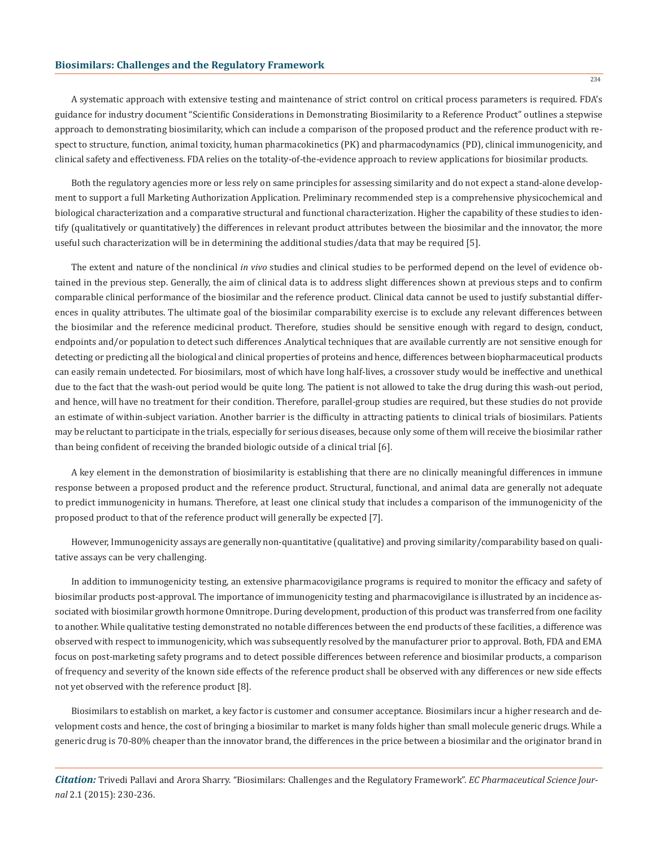#### **Biosimilars: Challenges and the Regulatory Framework**

A systematic approach with extensive testing and maintenance of strict control on critical process parameters is required. FDA's guidance for industry document "Scientific Considerations in Demonstrating Biosimilarity to a Reference Product" outlines a stepwise approach to demonstrating biosimilarity, which can include a comparison of the proposed product and the reference product with respect to structure, function, animal toxicity, human pharmacokinetics (PK) and pharmacodynamics (PD), clinical immunogenicity, and clinical safety and effectiveness. FDA relies on the totality-of-the-evidence approach to review applications for biosimilar products.

Both the regulatory agencies more or less rely on same principles for assessing similarity and do not expect a stand-alone development to support a full Marketing Authorization Application. Preliminary recommended step is a comprehensive physicochemical and biological characterization and a comparative structural and functional characterization. Higher the capability of these studies to identify (qualitatively or quantitatively) the differences in relevant product attributes between the biosimilar and the innovator, the more useful such characterization will be in determining the additional studies/data that may be required [5].

The extent and nature of the nonclinical *in vivo* studies and clinical studies to be performed depend on the level of evidence obtained in the previous step. Generally, the aim of clinical data is to address slight differences shown at previous steps and to confirm comparable clinical performance of the biosimilar and the reference product. Clinical data cannot be used to justify substantial differences in quality attributes. The ultimate goal of the biosimilar comparability exercise is to exclude any relevant differences between the biosimilar and the reference medicinal product. Therefore, studies should be sensitive enough with regard to design, conduct, endpoints and/or population to detect such differences .Analytical techniques that are available currently are not sensitive enough for detecting or predicting all the biological and clinical properties of proteins and hence, differences between biopharmaceutical products can easily remain undetected. For biosimilars, most of which have long half-lives, a crossover study would be ineffective and unethical due to the fact that the wash-out period would be quite long. The patient is not allowed to take the drug during this wash-out period, and hence, will have no treatment for their condition. Therefore, parallel-group studies are required, but these studies do not provide an estimate of within-subject variation. Another barrier is the difficulty in attracting patients to clinical trials of biosimilars. Patients may be reluctant to participate in the trials, especially for serious diseases, because only some of them will receive the biosimilar rather than being confident of receiving the branded biologic outside of a clinical trial [6].

A key element in the demonstration of biosimilarity is establishing that there are no clinically meaningful differences in immune response between a proposed product and the reference product. Structural, functional, and animal data are generally not adequate to predict immunogenicity in humans. Therefore, at least one clinical study that includes a comparison of the immunogenicity of the proposed product to that of the reference product will generally be expected [7].

However, Immunogenicity assays are generally non-quantitative (qualitative) and proving similarity/comparability based on qualitative assays can be very challenging.

In addition to immunogenicity testing, an extensive pharmacovigilance programs is required to monitor the efficacy and safety of biosimilar products post-approval. The importance of immunogenicity testing and pharmacovigilance is illustrated by an incidence associated with biosimilar growth hormone Omnitrope. During development, production of this product was transferred from one facility to another. While qualitative testing demonstrated no notable differences between the end products of these facilities, a difference was observed with respect to immunogenicity, which was subsequently resolved by the manufacturer prior to approval. Both, FDA and EMA focus on post-marketing safety programs and to detect possible differences between reference and biosimilar products, a comparison of frequency and severity of the known side effects of the reference product shall be observed with any differences or new side effects not yet observed with the reference product [8].

Biosimilars to establish on market, a key factor is customer and consumer acceptance. Biosimilars incur a higher research and development costs and hence, the cost of bringing a biosimilar to market is many folds higher than small molecule generic drugs. While a generic drug is 70-80% cheaper than the innovator brand, the differences in the price between a biosimilar and the originator brand in

*Citation:* Trivedi Pallavi and Arora Sharry. "Biosimilars: Challenges and the Regulatory Framework". *EC Pharmaceutical Science Journal* 2.1 (2015): 230-236.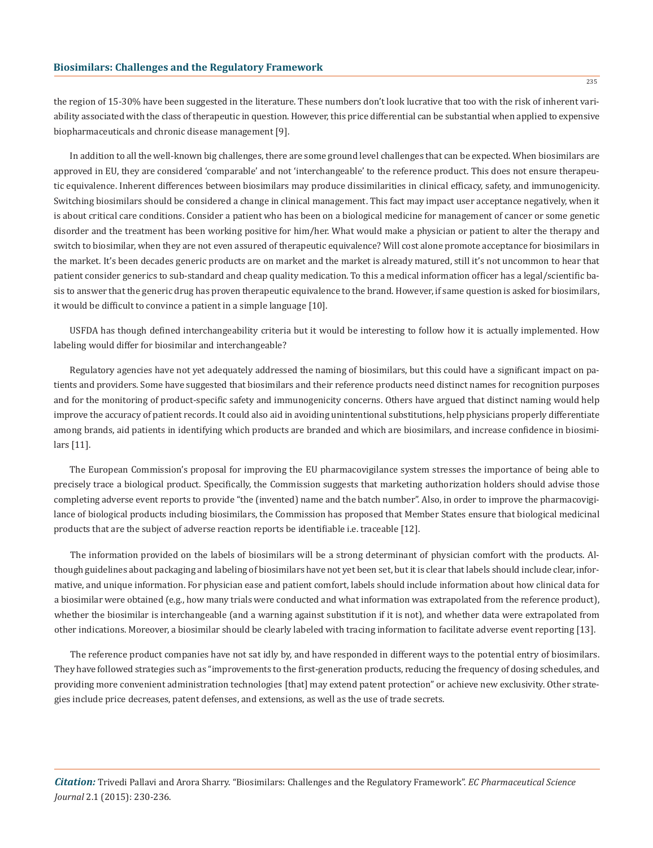the region of 15-30% have been suggested in the literature. These numbers don't look lucrative that too with the risk of inherent variability associated with the class of therapeutic in question. However, this price differential can be substantial when applied to expensive biopharmaceuticals and chronic disease management [9].

In addition to all the well-known big challenges, there are some ground level challenges that can be expected. When biosimilars are approved in EU, they are considered 'comparable' and not 'interchangeable' to the reference product. This does not ensure therapeutic equivalence. Inherent differences between biosimilars may produce dissimilarities in clinical efficacy, safety, and immunogenicity. Switching biosimilars should be considered a change in clinical management. This fact may impact user acceptance negatively, when it is about critical care conditions. Consider a patient who has been on a biological medicine for management of cancer or some genetic disorder and the treatment has been working positive for him/her. What would make a physician or patient to alter the therapy and switch to biosimilar, when they are not even assured of therapeutic equivalence? Will cost alone promote acceptance for biosimilars in the market. It's been decades generic products are on market and the market is already matured, still it's not uncommon to hear that patient consider generics to sub-standard and cheap quality medication. To this a medical information officer has a legal/scientific basis to answer that the generic drug has proven therapeutic equivalence to the brand. However, if same question is asked for biosimilars, it would be difficult to convince a patient in a simple language [10].

USFDA has though defined interchangeability criteria but it would be interesting to follow how it is actually implemented. How labeling would differ for biosimilar and interchangeable?

Regulatory agencies have not yet adequately addressed the naming of biosimilars, but this could have a significant impact on patients and providers. Some have suggested that biosimilars and their reference products need distinct names for recognition purposes and for the monitoring of product-specific safety and immunogenicity concerns. Others have argued that distinct naming would help improve the accuracy of patient records. It could also aid in avoiding unintentional substitutions, help physicians properly differentiate among brands, aid patients in identifying which products are branded and which are biosimilars, and increase confidence in biosimilars [11].

The European Commission's proposal for improving the EU pharmacovigilance system stresses the importance of being able to precisely trace a biological product. Specifically, the Commission suggests that marketing authorization holders should advise those completing adverse event reports to provide "the (invented) name and the batch number". Also, in order to improve the pharmacovigilance of biological products including biosimilars, the Commission has proposed that Member States ensure that biological medicinal products that are the subject of adverse reaction reports be identifiable i.e. traceable [12].

The information provided on the labels of biosimilars will be a strong determinant of physician comfort with the products. Although guidelines about packaging and labeling of biosimilars have not yet been set, but it is clear that labels should include clear, informative, and unique information. For physician ease and patient comfort, labels should include information about how clinical data for a biosimilar were obtained (e.g., how many trials were conducted and what information was extrapolated from the reference product), whether the biosimilar is interchangeable (and a warning against substitution if it is not), and whether data were extrapolated from other indications. Moreover, a biosimilar should be clearly labeled with tracing information to facilitate adverse event reporting [13].

The reference product companies have not sat idly by, and have responded in different ways to the potential entry of biosimilars. They have followed strategies such as "improvements to the first-generation products, reducing the frequency of dosing schedules, and providing more convenient administration technologies [that] may extend patent protection" or achieve new exclusivity. Other strategies include price decreases, patent defenses, and extensions, as well as the use of trade secrets.

*Citation:* Trivedi Pallavi and Arora Sharry. "Biosimilars: Challenges and the Regulatory Framework". *EC Pharmaceutical Science Journal* 2.1 (2015): 230-236.